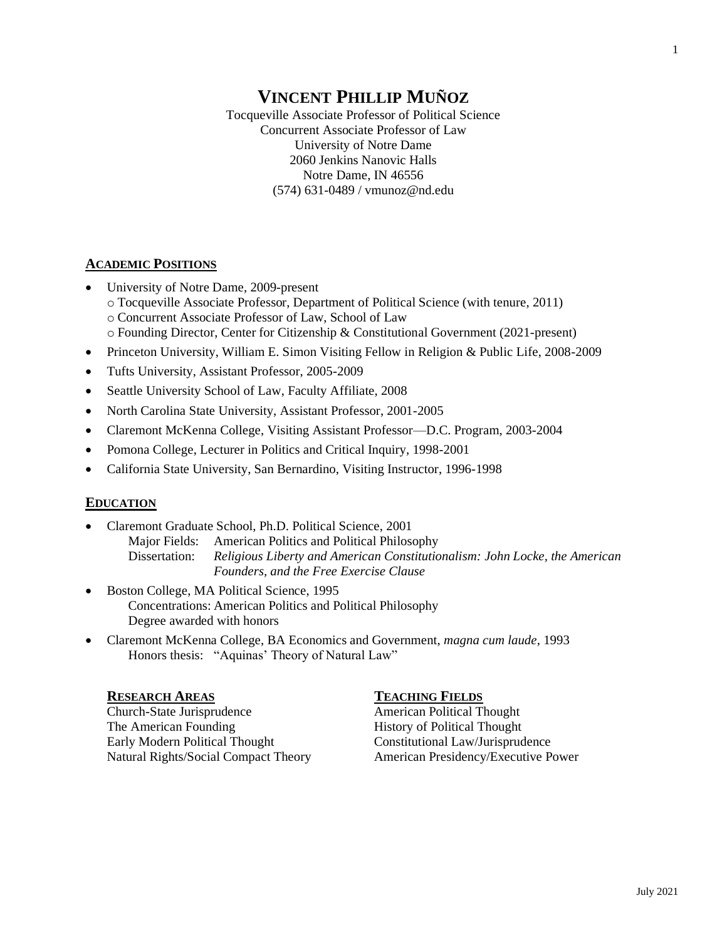# **VINCENT PHILLIP MUÑOZ**

Tocqueville Associate Professor of Political Science Concurrent Associate Professor of Law University of Notre Dame 2060 Jenkins Nanovic Halls Notre Dame, IN 46556 (574) 631-0489 / vmunoz@nd.edu

### **ACADEMIC POSITIONS**

- University of Notre Dame, 2009-present o Tocqueville Associate Professor, Department of Political Science (with tenure, 2011) o Concurrent Associate Professor of Law, School of Law o Founding Director, Center for Citizenship & Constitutional Government (2021-present)
- Princeton University, William E. Simon Visiting Fellow in Religion & Public Life, 2008-2009
- Tufts University, Assistant Professor, 2005-2009
- Seattle University School of Law, Faculty Affiliate, 2008
- North Carolina State University, Assistant Professor, 2001-2005
- Claremont McKenna College, Visiting Assistant Professor—D.C. Program, 2003-2004
- Pomona College, Lecturer in Politics and Critical Inquiry, 1998-2001
- California State University, San Bernardino, Visiting Instructor, 1996-1998

# **EDUCATION**

- Claremont Graduate School, Ph.D. Political Science, 2001 Major Fields: American Politics and Political Philosophy Dissertation: *Religious Liberty and American Constitutionalism: John Locke, the American Founders, and the Free Exercise Clause*
- Boston College, MA Political Science, 1995 Concentrations: American Politics and Political Philosophy Degree awarded with honors
- Claremont McKenna College, BA Economics and Government, *magna cum laude*, 1993 Honors thesis: "Aquinas' Theory of Natural Law"

### **RESEARCH AREAS**

Church-State Jurisprudence The American Founding Early Modern Political Thought Natural Rights/Social Compact Theory

#### **TEACHING FIELDS**

American Political Thought History of Political Thought Constitutional Law/Jurisprudence American Presidency/Executive Power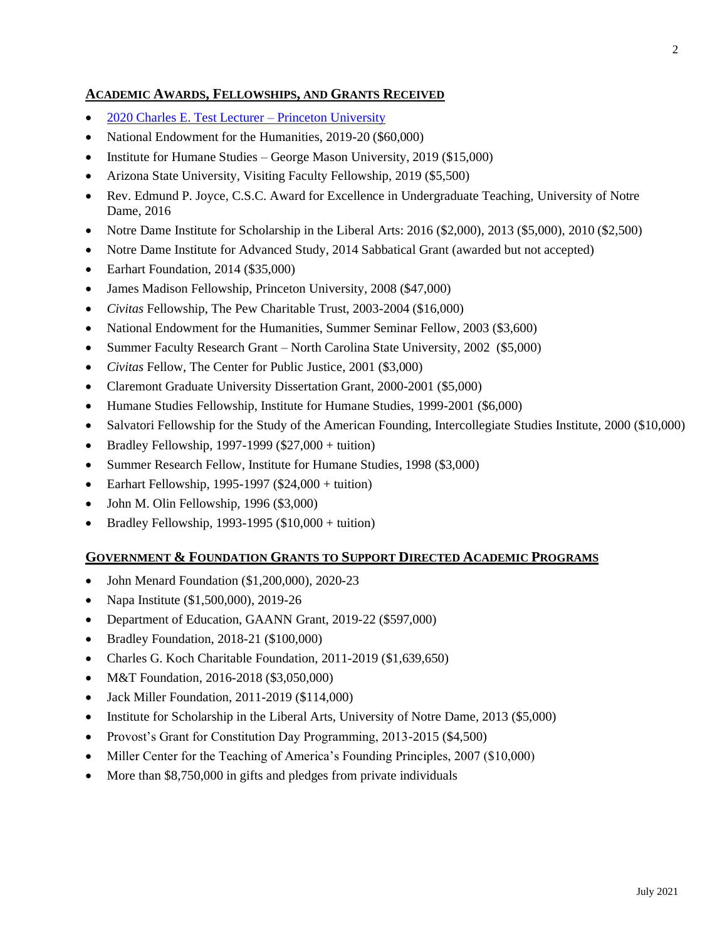## **ACADEMIC AWARDS, FELLOWSHIPS, AND GRANTS RECEIVED**

- [2020 Charles E. Test Lecturer –](https://jmp.princeton.edu/events/religious-liberty-and-american-founding-natural-rights-and-original-meaning-first-0) Princeton University
- National Endowment for the Humanities, 2019-20 (\$60,000)
- Institute for Humane Studies George Mason University, 2019 (\$15,000)
- Arizona State University, Visiting Faculty Fellowship, 2019 (\$5,500)
- Rev. Edmund P. Joyce, C.S.C. Award for Excellence in Undergraduate Teaching, University of Notre Dame, 2016
- Notre Dame Institute for Scholarship in the Liberal Arts:  $2016$  (\$2,000),  $2013$  (\$5,000),  $2010$  (\$2,500)
- Notre Dame Institute for Advanced Study, 2014 Sabbatical Grant (awarded but not accepted)
- Earhart Foundation, 2014 (\$35,000)
- James Madison Fellowship, Princeton University, 2008 (\$47,000)
- *Civitas* Fellowship, The Pew Charitable Trust, 2003-2004 (\$16,000)
- National Endowment for the Humanities, Summer Seminar Fellow, 2003 (\$3,600)
- Summer Faculty Research Grant North Carolina State University, 2002 (\$5,000)
- *Civitas* Fellow, The Center for Public Justice, 2001 (\$3,000)
- Claremont Graduate University Dissertation Grant, 2000-2001 (\$5,000)
- Humane Studies Fellowship, Institute for Humane Studies, 1999-2001 (\$6,000)
- Salvatori Fellowship for the Study of the American Founding, Intercollegiate Studies Institute, 2000 (\$10,000)
- Bradley Fellowship, 1997-1999 ( $$27,000 +$  tuition)
- Summer Research Fellow, Institute for Humane Studies, 1998 (\$3,000)
- Earhart Fellowship, 1995-1997 ( $$24,000 +$  tuition)
- John M. Olin Fellowship, 1996 (\$3,000)
- Bradley Fellowship, 1993-1995  $(\$10,000 + \text{tution})$

### **GOVERNMENT & FOUNDATION GRANTS TO SUPPORT DIRECTED ACADEMIC PROGRAMS**

- John Menard Foundation (\$1,200,000), 2020-23
- Napa Institute (\$1,500,000), 2019-26
- Department of Education, GAANN Grant, 2019-22 (\$597,000)
- Bradley Foundation, 2018-21 (\$100,000)
- Charles G. Koch Charitable Foundation, 2011-2019 (\$1,639,650)
- M&T Foundation, 2016-2018 (\$3,050,000)
- Jack Miller Foundation, 2011-2019 (\$114,000)
- Institute for Scholarship in the Liberal Arts, University of Notre Dame, 2013 (\$5,000)
- Provost's Grant for Constitution Day Programming, 2013-2015 (\$4,500)
- Miller Center for the Teaching of America's Founding Principles, 2007 (\$10,000)
- More than \$8,750,000 in gifts and pledges from private individuals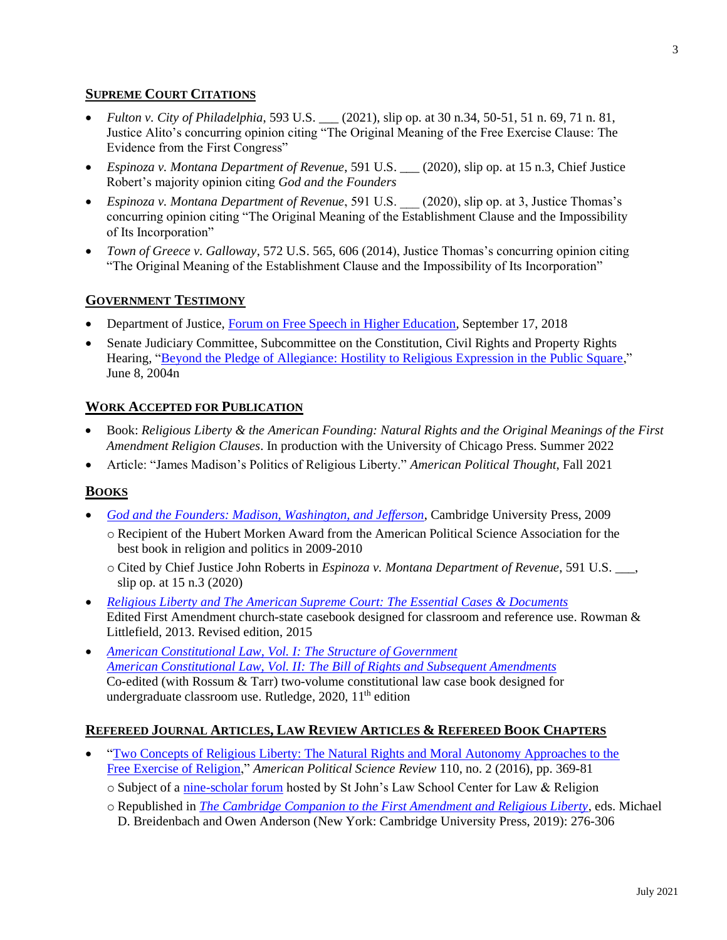### **SUPREME COURT CITATIONS**

- *Fulton v. City of Philadelphia*, 593 U.S. \_\_\_ (2021), slip op. at 30 n.34, 50-51, 51 n. 69, 71 n. 81, Justice Alito's concurring opinion citing "The Original Meaning of the Free Exercise Clause: The Evidence from the First Congress"
- *Espinoza v. Montana Department of Revenue*, 591 U.S. \_\_\_ (2020), slip op. at 15 n.3, Chief Justice Robert's majority opinion citing *God and the Founders*
- *Espinoza v. Montana Department of Revenue*, 591 U.S. \_\_\_ (2020), slip op. at 3, Justice Thomas's concurring opinion citing "The Original Meaning of the Establishment Clause and the Impossibility of Its Incorporation"
- *Town of Greece v. Galloway*, 572 U.S. 565, 606 (2014), Justice Thomas's concurring opinion citing "The Original Meaning of the Establishment Clause and the Impossibility of Its Incorporation"

### **GOVERNMENT TESTIMONY**

- Department of Justice, [Forum on Free Speech in Higher Education,](https://www.justice.gov/file/1096106/download) September 17, 2018
- Senate Judiciary Committee, Subcommittee on the Constitution, Civil Rights and Property Rights Hearing, ["Beyond the Pledge of Allegiance: Hostility to Religious Expression in the Public Square,](https://www.judiciary.senate.gov/imo/media/doc/munoz_testimony_06_08_04.pdf)" June 8, 2004n

### **WORK ACCEPTED FOR PUBLICATION**

- Book: *Religious Liberty & the American Founding: Natural Rights and the Original Meanings of the First Amendment Religion Clauses*. In production with the University of Chicago Press. Summer 2022
- Article: "James Madison's Politics of Religious Liberty." *American Political Thought*, Fall 2021

### **BOOKS**

- *[God and the Founders: Madison, Washington, and Jefferson](https://www.cambridge.org/gb/academic/subjects/politics-international-relations/american-government-politics-and-policy/god-and-founders-madison-washington-and-jefferson?format=PB)*, Cambridge University Press, 2009
	- o Recipient of the Hubert Morken Award from the American Political Science Association for the best book in religion and politics in 2009-2010
	- o Cited by Chief Justice John Roberts in *Espinoza v. Montana Department of Revenue*, 591 U.S. \_\_\_, slip op. at 15 n.3 (2020)
- *Religious Liberty and [The American Supreme Court: The Essential Cases &](https://rowman.com/ISBN/9781442208285/Religious-Liberty-and-the-American-Supreme-Court-The-Essential-Cases-and-Documents-Updated-Edition) Documents* Edited First Amendment church-state casebook designed for classroom and reference use. Rowman & Littlefield, 2013. Revised edition, 2015
- *[American Constitutional Law, Vol. I: The Structure of Government](https://www.routledge.com/American-Constitutional-Law-Volume-I-The-Structure-of-Government/Rossum-Tarr-Munoz/p/book/9780367233334#:~:text=American%20Constitutional%20Law%2011e%2C%20Volume,President%2C%20lower%20federal%20courts%2C%20and) [American Constitutional Law, Vol. II: The Bill of Rights and Subsequent Amendments](https://www.routledge.com/American-Constitutional-Law-Volume-II-The-Bill-of-Rights-and-Subsequent/Rossum-Tarr-Munoz/p/book/9780367234003)* Co-edited (with Rossum & Tarr) two-volume constitutional law case book designed for undergraduate classroom use. Rutledge, 2020, 11<sup>th</sup> edition

### **REFEREED JOURNAL ARTICLES, LAW REVIEW ARTICLES & REFEREED BOOK CHAPTERS**

- "Two Concepts of Religious Liberty: The Natural Rights and Moral Autonomy Approaches to the [Free Exercise of Religion,](https://papers.ssrn.com/sol3/papers.cfm?abstract_id=2796598)" *American Political Science Review* 110, no. 2 (2016), pp. 369-81
	- o Subject of a [nine-scholar forum](https://lawandreligionforum.org/category/online-symposia/two-concepts-of-religious-liberty/) hosted by St John's Law School Center for Law & Religion
	- o Republished in *[The Cambridge Companion to the First Amendment and Religious Liberty](https://www.cambridge.org/core/books/cambridge-companion-to-the-first-amendment-and-religious-liberty/97C7C75C7EAFD68FE345306037AC445C)*, eds. Michael D. Breidenbach and Owen Anderson (New York: Cambridge University Press, 2019): 276-306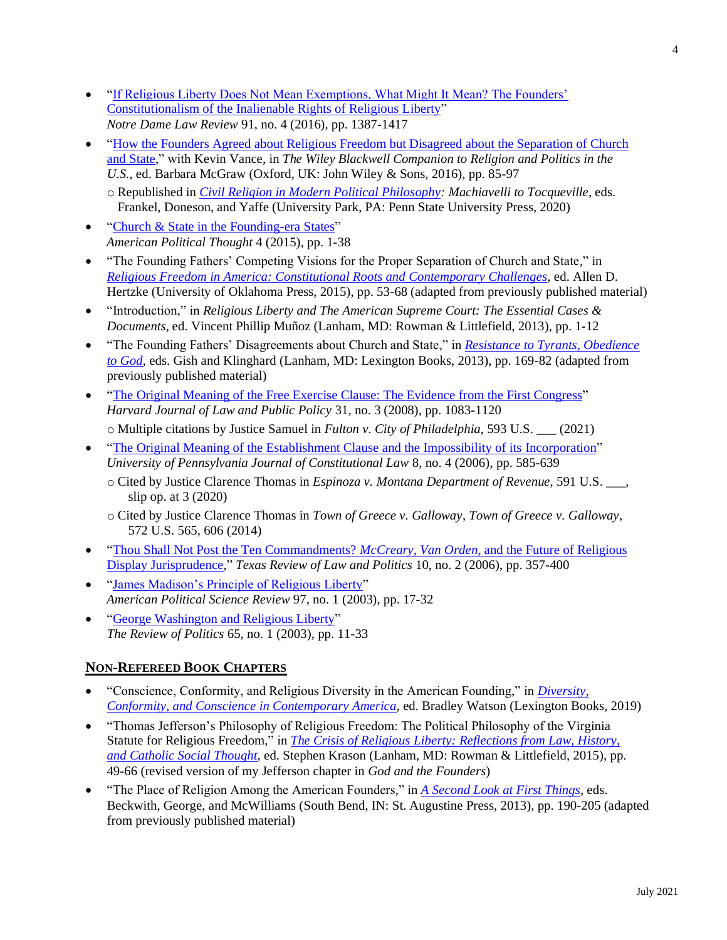- ["If Religious Liberty Does Not Mean Exemptions, What Might It Mean? The Founders'](https://papers.ssrn.com/sol3/papers.cfm?abstract_id=2799747)  [Constitutionalism of the Inalienable Rights of Religious Liberty"](https://papers.ssrn.com/sol3/papers.cfm?abstract_id=2799747) *Notre Dame Law Review* 91, no. 4 (2016), pp. 1387-1417
- "How the Founders Agreed about Religious Freedom but Disagreed about the Separation of Church [and State,](https://onlinelibrary.wiley.com/doi/abs/10.1002/9781118528631.ch8)" with Kevin Vance, in *The Wiley Blackwell Companion to Religion and Politics in the U.S.*, ed. Barbara McGraw (Oxford, UK: John Wiley & Sons, 2016), pp. 85-97
	- o Republished in *[Civil Religion in Modern Political Philosophy:](https://www.amazon.com/Civil-Religion-Modern-Political-Philosophy/dp/0271086157) Machiavelli to Tocqueville*, eds. Frankel, Doneson, and Yaffe (University Park, PA: Penn State University Press, 2020)
- ["Church & State in the Founding-era States"](https://papers.ssrn.com/sol3/papers.cfm?abstract_id=2556951) *American Political Thought* 4 (2015), pp. 1-38
- "The Founding Fathers' Competing Visions for the Proper Separation of Church and State," in *[Religious Freedom in America: Constitutional Roots and Contemporary Challenges](https://www.oupress.com/books/14224204/religious-freedom-in-america)*, ed. Allen D. Hertzke (University of Oklahoma Press, 2015), pp. 53-68 (adapted from previously published material)
- "Introduction," in *Religious Liberty and The American Supreme Court: The Essential Cases & Documents*, ed. Vincent Phillip Muñoz (Lanham, MD: Rowman & Littlefield, 2013), pp. 1-12
- "The Founding Fathers' Disagreements about Church and State," in *[Resistance to Tyrants, Obedience](https://www.amazon.com/Resistance-Tyrants-Obedience-God-Republicanism/dp/0739182196)  [to God](https://www.amazon.com/Resistance-Tyrants-Obedience-God-Republicanism/dp/0739182196)*, eds. Gish and Klinghard (Lanham, MD: Lexington Books, 2013), pp. 169-82 (adapted from previously published material)
- ["The Original Meaning of the Free Exercise Clause: The Evidence from the First Congress"](https://papers.ssrn.com/sol3/papers.cfm?abstract_id=1150780) *Harvard Journal of Law and Public Policy* 31, no. 3 (2008), pp. 1083-1120 o Multiple citations by Justice Samuel in *Fulton v. City of Philadelphia*, 593 U.S. \_\_\_ (2021)
- ["The Original Meaning of the Establishment Clause and the Impossibility of its Incorporation"](https://papers.ssrn.com/sol3/papers.cfm?abstract_id=963447)
- *University of Pennsylvania Journal of Constitutional Law* 8, no. 4 (2006), pp. 585-639
	- o Cited by Justice Clarence Thomas in *Espinoza v. Montana Department of Revenue*, 591 U.S. \_\_\_, slip op. at 3 (2020)
	- o Cited by Justice Clarence Thomas in *Town of Greece v. Galloway*, *Town of Greece v. Galloway*, 572 U.S. 565, 606 (2014)
- ["Thou Shall Not Post the Ten Commandments?](https://papers.ssrn.com/sol3/papers.cfm?abstract_id=963470) *McCreary, Van Orden*, and the Future of Religious [Display Jurisprudence,](https://papers.ssrn.com/sol3/papers.cfm?abstract_id=963470)" *Texas Review of Law and Politics* 10, no. 2 (2006), pp. 357-400
- ["James Madison's Principle of Religious Liberty"](https://papers.ssrn.com/sol3/papers.cfm?abstract_id=512922) *American Political Science Review* 97, no. 1 (2003), pp. 17-32
- ["George Washington and Religious Liberty"](https://papers.ssrn.com/sol3/papers.cfm?abstract_id=1093352) *The Review of Politics* 65, no. 1 (2003), pp. 11-33

# **NON-REFEREED BOOK CHAPTERS**

- "Conscience, Conformity, and Religious Diversity in the American Founding," in *[Diversity,](https://www.amazon.com/Diversity-Conformity-Conscience-Contemporary-America/dp/1498588832)  [Conformity, and Conscience in Contemporary America](https://www.amazon.com/Diversity-Conformity-Conscience-Contemporary-America/dp/1498588832)*, ed. Bradley Watson (Lexington Books, 2019)
- "Thomas Jefferson's Philosophy of Religious Freedom: The Political Philosophy of the Virginia Statute for Religious Freedom," in *[The Crisis of Religious Liberty:](https://rowman.com/ISBN/9781442242531/The-Crisis-of-Religious-Liberty-Reflections-from-Law-History-and-Catholic-Social-Thought) Reflections from Law, History, [and Catholic Social Thought](https://rowman.com/ISBN/9781442242531/The-Crisis-of-Religious-Liberty-Reflections-from-Law-History-and-Catholic-Social-Thought)*, ed. Stephen Krason (Lanham, MD: Rowman & Littlefield, 2015), pp. 49-66 (revised version of my Jefferson chapter in *God and the Founders*)
- "The Place of Religion Among the American Founders," in *[A Second Look at First Things](https://www.amazon.com/Second-Look-First-Things-Conservative/dp/1587317591)*, eds. Beckwith, George, and McWilliams (South Bend, IN: St. Augustine Press, 2013), pp. 190-205 (adapted from previously published material)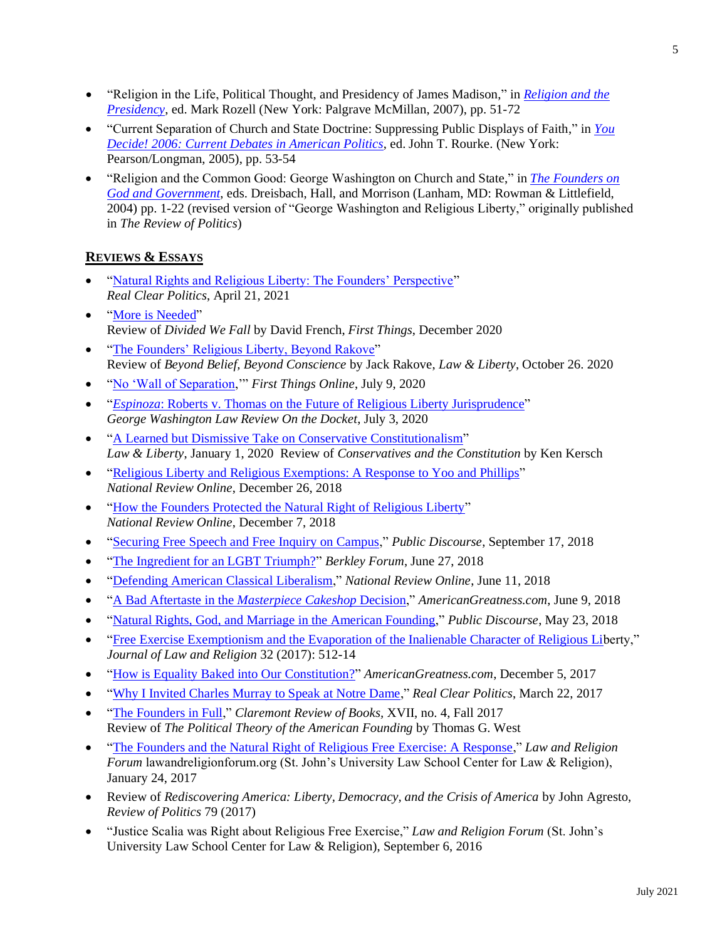- "Religion in the Life, Political Thought, and Presidency of James Madison," in *[Religion and the](https://www.amazon.com/Religion-American-Presidency-Evolving/dp/0230120792)  [Presidency](https://www.amazon.com/Religion-American-Presidency-Evolving/dp/0230120792)*, ed. Mark Rozell (New York: Palgrave McMillan, 2007), pp. 51-72
- "Current Separation of Church and State Doctrine: Suppressing Public Displays of Faith," in *[You](https://www.amazon.ca/Decide-Current-Debates-American-Politics/dp/0321411080)  [Decide! 2006: Current Debates in American Politics](https://www.amazon.ca/Decide-Current-Debates-American-Politics/dp/0321411080)*, ed. John T. Rourke. (New York: Pearson/Longman, 2005), pp. 53-54
- "Religion and the Common Good: George Washington on Church and State," in *[The Founders on](https://www.amazon.com/Founders-God-Government-Daniel-Dreisbach/dp/0742522792)  [God and Government](https://www.amazon.com/Founders-God-Government-Daniel-Dreisbach/dp/0742522792)*, eds. Dreisbach, Hall, and Morrison (Lanham, MD: Rowman & Littlefield, 2004) pp. 1-22 (revised version of "George Washington and Religious Liberty," originally published in *The Review of Politics*)

# **REVIEWS & ESSAYS**

- ["Natural Rights and Religious Liberty: The Founders' Perspective"](https://www.realclearpublicaffairs.com/articles/2021/04/21/natural_rights_and_religious_liberty_the_founders_perspective_773649.html) *Real Clear Politics*, April 21, 2021
- ["More is Needed"](https://www.firstthings.com/article/2020/12/more-is-needed) Review of *Divided We Fall* by David French, *First Things*, December 2020
- ["The Founders' Religious Liberty, Beyond Rakove"](https://lawliberty.org/book-review/natural-rights-and-religious-conscience/) Review of *Beyond Belief, Beyond Conscience* by Jack Rakove, *Law & Liberty*, October 26. 2020
- ["No 'Wall of Separation,](https://www.firstthings.com/web-exclusives/2020/07/no-wall-of-separation)'" *First Things Online*, July 9, 2020
- "*Espinoza*[: Roberts v. Thomas on the Future of Religious Liberty Jurisprudence"](https://www.gwlr.org/espinoza-roberts-v-thomas-on-the-future-of-religious-liberty-jurisprudence/) *George Washington Law Review On the Docket*, July 3, 2020
- ["A Learned but Dismissive Take on Conservative Constitutionalism"](https://lawliberty.org/a-learned-but-dismissive-take-on-conservative-constitutionalism/) *Law & Liberty*, January 1, 2020 Review of *Conservatives and the Constitution* by Ken Kersch
- ["Religious Liberty and Religious Exemptions: A Response to Yoo and Phillips"](https://www.nationalreview.com/2018/12/religious-exemptions-permissible-but-not-mandated-by-first-amendment/) *National Review Online*, December 26, 2018
- ["How the Founders Protected the Natural Right of Religious Liberty"](https://www.nationalreview.com/2018/12/founders-protected-religious-freedom-first-amendment-natural-rights/) *National Review Online*, December 7, 2018
- ["Securing Free Speech and Free Inquiry on Campus,](https://www.thepublicdiscourse.com/2018/09/39683/)" *Public Discourse*, September 17, 2018
- ["The Ingredient for an LGBT Triumph?"](https://berkleycenter.georgetown.edu/responses/the-ingredient-for-a-lgbt-triumph) *Berkley Forum*, June 27, 2018
- ["Defending American Classical Liberalism,](https://www.nationalreview.com/2018/06/american-classical-liberalism-response-to-radical-catholics/)" *National Review Online*, June 11, 2018
- ["A Bad Aftertaste in the](https://amgreatness.com/2018/06/09/a-bad-aftertaste-in-the-masterpiece-cakeshop-decision/) *Masterpiece Cakeshop* Decision," *AmericanGreatness.com*, June 9, 2018
- ["Natural Rights, God, and Marriage in the American Founding,](https://www.thepublicdiscourse.com/2018/05/20603/)" *Public Discourse*, May 23, 2018
- ["Free Exercise Exemptionism and the Evaporation of the Inalienable Character of Religious Lib](https://www.cambridge.org/core/journals/journal-of-law-and-religion/article/abs/free-exercise-exemptionism-and-the-evaporation-of-the-inalienable-character-of-religious-liberty-the-distinctiveness-of-religion-in-american-law-rethinking-religion-clause-jurisprudence-by-kathleen-a-brady-cambridge-cambridge-university-press-2015-pp-354-3999-paper-isbn-9781107016507/8B4412DE4893898F6AD2884191278758)erty," *Journal of Law and Religion* 32 (2017): 512-14
- ["How is Equality Baked into Our Constitution?"](https://amgreatness.com/2017/12/05/how-is-equality-baked-into-our-constitution/) *AmericanGreatness.com*, December 5, 2017
- ["Why I Invited Charles Murray to Speak at Notre Dame,](https://www.realclearpolitics.com/articles/2017/03/22/why_i_invited_charles_murray_to_speak_at_notre_dame_133401.html)" *Real Clear Politics*, March 22, 2017
- ["The Founders in Full,](https://claremontreviewofbooks.com/the-founders-in-full/)" *Claremont Review of Books,* XVII, no. 4, Fall 2017 Review of *The Political Theory of the American Founding* by Thomas G. West
- ["The Founders and the Natural Right of Religious Free Exercise: A Response,](https://lawandreligionforum.org/2017/01/24/munoz-the-founders-and-the-natural-right-of-religious-free-exercise-a-response/)" *Law and Religion Forum* lawandreligionforum.org (St. John's University Law School Center for Law & Religion), January 24, 2017
- Review of *Rediscovering America: Liberty, Democracy, and the Crisis of America* by John Agresto, *Review of Politics* 79 (2017)
- "Justice Scalia was Right about Religious Free Exercise," *Law and Religion Forum* (St. John's University Law School Center for Law & Religion), September 6, 2016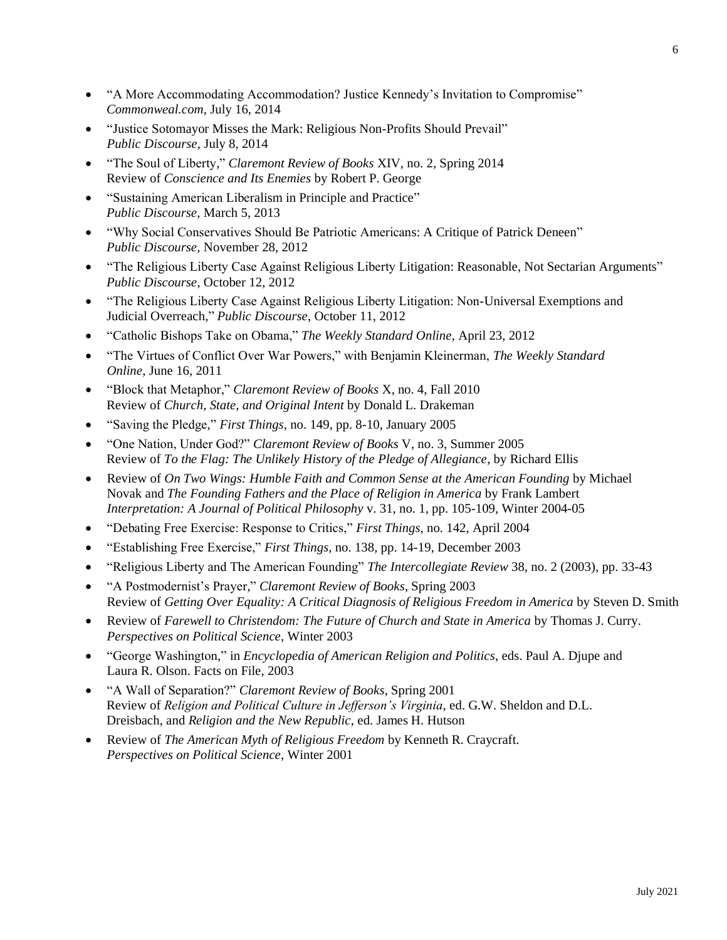- "A More Accommodating Accommodation? Justice Kennedy's Invitation to Compromise" *Commonweal.com,* July 16, 2014
- "Justice Sotomayor Misses the Mark: Religious Non-Profits Should Prevail" *Public Discourse,* July 8, 2014
- "The Soul of Liberty," *Claremont Review of Books* XIV, no. 2, Spring 2014 Review of *Conscience and Its Enemies* by Robert P. George
- "Sustaining American Liberalism in Principle and Practice" *Public Discourse,* March 5, 2013
- "Why Social Conservatives Should Be Patriotic Americans: A Critique of Patrick Deneen" *Public Discourse,* November 28, 2012
- "The Religious Liberty Case Against Religious Liberty Litigation: Reasonable, Not Sectarian Arguments" *Public Discourse*, October 12, 2012
- "The Religious Liberty Case Against Religious Liberty Litigation: Non-Universal Exemptions and Judicial Overreach," *Public Discourse*, October 11, 2012
- "Catholic Bishops Take on Obama," *The Weekly Standard Online*, April 23, 2012
- "The Virtues of Conflict Over War Powers," with Benjamin Kleinerman, *The Weekly Standard Online*, June 16, 2011
- "Block that Metaphor," *Claremont Review of Books* X, no. 4, Fall 2010 Review of *Church, State, and Original Intent* by Donald L. Drakeman
- "Saving the Pledge," *First Things*, no. 149, pp. 8-10, January 2005
- "One Nation, Under God?" *Claremont Review of Books* V, no. 3, Summer 2005 Review of *To the Flag: The Unlikely History of the Pledge of Allegiance*, by Richard Ellis
- Review of *On Two Wings: Humble Faith and Common Sense at the American Founding* by Michael Novak and *The Founding Fathers and the Place of Religion in America* by Frank Lambert *Interpretation: A Journal of Political Philosophy* v. 31, no. 1, pp. 105-109, Winter 2004-05
- "Debating Free Exercise: Response to Critics," *First Things*, no. 142, April 2004
- "Establishing Free Exercise," *First Things*, no. 138, pp. 14-19, December 2003
- "Religious Liberty and The American Founding" *The Intercollegiate Review* 38, no. 2 (2003), pp. 33-43
- "A Postmodernist's Prayer," *Claremont Review of Books*, Spring 2003 Review of *Getting Over Equality: A Critical Diagnosis of Religious Freedom in America* by Steven D. Smith
- Review of *Farewell to Christendom: The Future of Church and State in America* by Thomas J. Curry. *Perspectives on Political Science*, Winter 2003
- "George Washington," in *Encyclopedia of American Religion and Politics*, eds. Paul A. Djupe and Laura R. Olson. Facts on File, 2003
- "A Wall of Separation?" *Claremont Review of Books*, Spring 2001 Review of *Religion and Political Culture in Jefferson's Virginia*, ed. G.W. Sheldon and D.L. Dreisbach, and *Religion and the New Republic*, ed. James H. Hutson
- Review of *The American Myth of Religious Freedom* by Kenneth R. Craycraft. *Perspectives on Political Science*, Winter 2001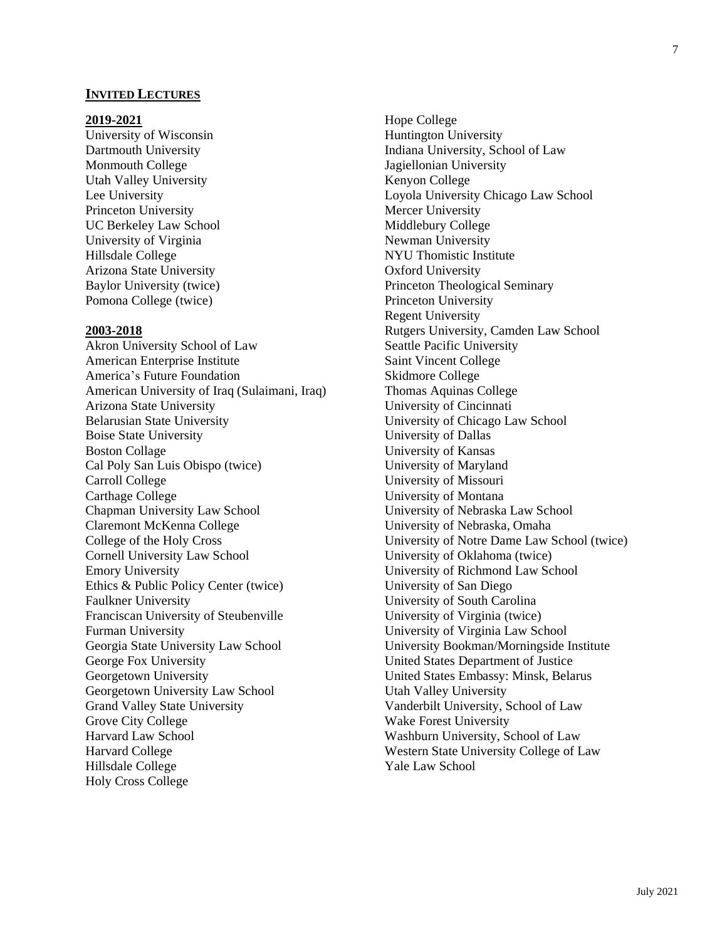#### **INVITED LECTURES**

#### **2019-2021**

University of Wisconsin Dartmouth University Monmouth College Utah Valley University Lee University Princeton University UC Berkeley Law School University of Virginia Hillsdale College Arizona State University Baylor University (twice) Pomona College (twice)

#### **2003-2018**

Akron University School of Law American Enterprise Institute America's Future Foundation American University of Iraq (Sulaimani, Iraq) Arizona State University Belarusian State University Boise State University Boston Collage Cal Poly San Luis Obispo (twice) Carroll College Carthage College Chapman University Law School Claremont McKenna College College of the Holy Cross Cornell University Law School Emory University Ethics & Public Policy Center (twice) Faulkner University Franciscan University of Steubenville Furman University Georgia State University Law School George Fox University Georgetown University Georgetown University Law School Grand Valley State University Grove City College Harvard Law School Harvard College Hillsdale College Holy Cross College

Hope College Huntington University Indiana University, School of Law Jagiellonian University Kenyon College Loyola University Chicago Law School Mercer University Middlebury College Newman University NYU Thomistic Institute Oxford University Princeton Theological Seminary Princeton University Regent University Rutgers University, Camden Law School Seattle Pacific University Saint Vincent College Skidmore College Thomas Aquinas College University of Cincinnati University of Chicago Law School University of Dallas University of Kansas University of Maryland University of Missouri University of Montana University of Nebraska Law School University of Nebraska, Omaha University of Notre Dame Law School (twice) University of Oklahoma (twice) University of Richmond Law School University of San Diego University of South Carolina University of Virginia (twice) University of Virginia Law School University Bookman/Morningside Institute United States Department of Justice United States Embassy: Minsk, Belarus Utah Valley University Vanderbilt University, School of Law Wake Forest University Washburn University, School of Law Western State University College of Law Yale Law School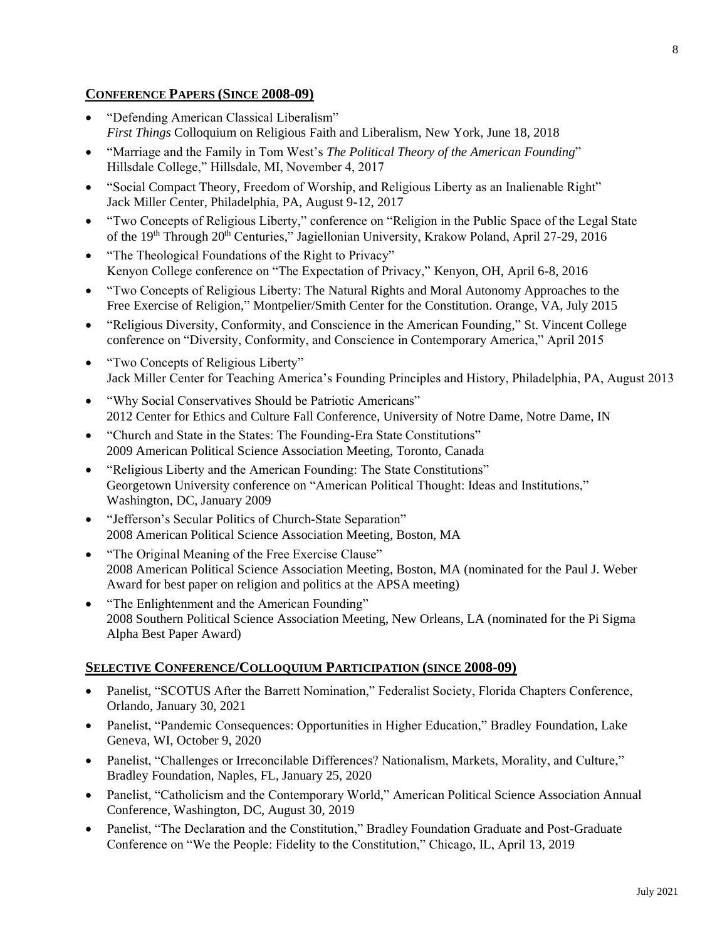## **CONFERENCE PAPERS (SINCE 2008-09)**

- "Defending American Classical Liberalism" *First Things* Colloquium on Religious Faith and Liberalism, New York, June 18, 2018
- "Marriage and the Family in Tom West's *The Political Theory of the American Founding*" Hillsdale College," Hillsdale, MI, November 4, 2017
- "Social Compact Theory, Freedom of Worship, and Religious Liberty as an Inalienable Right" Jack Miller Center, Philadelphia, PA, August 9-12, 2017
- "Two Concepts of Religious Liberty," conference on "Religion in the Public Space of the Legal State of the 19th Through 20th Centuries," Jagiellonian University, Krakow Poland, April 27-29, 2016
- "The Theological Foundations of the Right to Privacy" Kenyon College conference on "The Expectation of Privacy," Kenyon, OH, April 6-8, 2016
- "Two Concepts of Religious Liberty: The Natural Rights and Moral Autonomy Approaches to the Free Exercise of Religion," Montpelier/Smith Center for the Constitution. Orange, VA, July 2015
- "Religious Diversity, Conformity, and Conscience in the American Founding," St. Vincent College conference on "Diversity, Conformity, and Conscience in Contemporary America," April 2015
- "Two Concepts of Religious Liberty" Jack Miller Center for Teaching America's Founding Principles and History, Philadelphia, PA, August 2013
- "Why Social Conservatives Should be Patriotic Americans" 2012 Center for Ethics and Culture Fall Conference, University of Notre Dame, Notre Dame, IN
- "Church and State in the States: The Founding-Era State Constitutions" 2009 American Political Science Association Meeting, Toronto, Canada
- "Religious Liberty and the American Founding: The State Constitutions" Georgetown University conference on "American Political Thought: Ideas and Institutions," Washington, DC, January 2009
- "Jefferson's Secular Politics of Church-State Separation" 2008 American Political Science Association Meeting, Boston, MA
- "The Original Meaning of the Free Exercise Clause" 2008 American Political Science Association Meeting, Boston, MA (nominated for the Paul J. Weber Award for best paper on religion and politics at the APSA meeting)
- "The Enlightenment and the American Founding" 2008 Southern Political Science Association Meeting, New Orleans, LA (nominated for the Pi Sigma Alpha Best Paper Award)

# **SELECTIVE CONFERENCE/COLLOQUIUM PARTICIPATION (SINCE 2008-09)**

- Panelist, "SCOTUS After the Barrett Nomination," Federalist Society, Florida Chapters Conference, Orlando, January 30, 2021
- Panelist, "Pandemic Consequences: Opportunities in Higher Education," Bradley Foundation, Lake Geneva, WI, October 9, 2020
- Panelist, "Challenges or Irreconcilable Differences? Nationalism, Markets, Morality, and Culture," Bradley Foundation, Naples, FL, January 25, 2020
- Panelist, "Catholicism and the Contemporary World," American Political Science Association Annual Conference, Washington, DC, August 30, 2019
- Panelist, "The Declaration and the Constitution," Bradley Foundation Graduate and Post-Graduate Conference on "We the People: Fidelity to the Constitution," Chicago, IL, April 13, 2019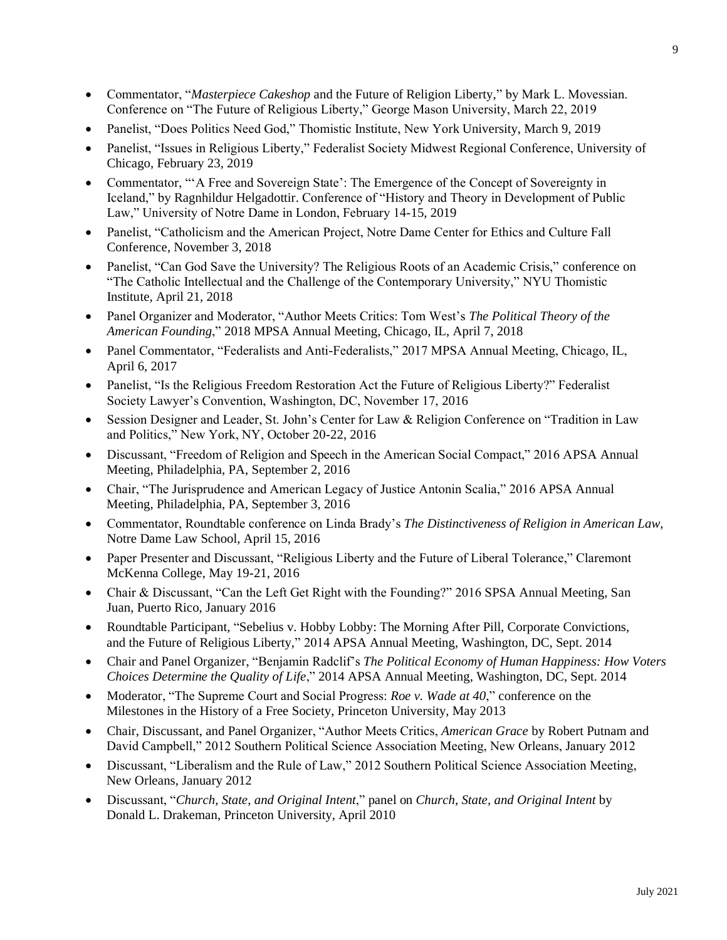- Commentator, "*Masterpiece Cakeshop* and the Future of Religion Liberty," by Mark L. Movessian. Conference on "The Future of Religious Liberty," George Mason University, March 22, 2019
- Panelist, "Does Politics Need God," Thomistic Institute, New York University, March 9, 2019
- Panelist, "Issues in Religious Liberty," Federalist Society Midwest Regional Conference, University of Chicago, February 23, 2019
- Commentator, "'A Free and Sovereign State': The Emergence of the Concept of Sovereignty in Iceland," by Ragnhildur Helgadottir. Conference of "History and Theory in Development of Public Law," University of Notre Dame in London, February 14-15, 2019
- Panelist, "Catholicism and the American Project, Notre Dame Center for Ethics and Culture Fall Conference, November 3, 2018
- Panelist, "Can God Save the University? The Religious Roots of an Academic Crisis," conference on "The Catholic Intellectual and the Challenge of the Contemporary University," NYU Thomistic Institute, April 21, 2018
- Panel Organizer and Moderator, "Author Meets Critics: Tom West's *The Political Theory of the American Founding*," 2018 MPSA Annual Meeting, Chicago, IL, April 7, 2018
- Panel Commentator, "Federalists and Anti-Federalists," 2017 MPSA Annual Meeting, Chicago, IL, April 6, 2017
- Panelist, "Is the Religious Freedom Restoration Act the Future of Religious Liberty?" Federalist Society Lawyer's Convention, Washington, DC, November 17, 2016
- Session Designer and Leader, St. John's Center for Law & Religion Conference on "Tradition in Law and Politics," New York, NY, October 20-22, 2016
- Discussant, "Freedom of Religion and Speech in the American Social Compact," 2016 APSA Annual Meeting, Philadelphia, PA, September 2, 2016
- Chair, "The Jurisprudence and American Legacy of Justice Antonin Scalia," 2016 APSA Annual Meeting, Philadelphia, PA, September 3, 2016
- Commentator, Roundtable conference on Linda Brady's *The Distinctiveness of Religion in American Law*, Notre Dame Law School, April 15, 2016
- Paper Presenter and Discussant, "Religious Liberty and the Future of Liberal Tolerance," Claremont McKenna College, May 19-21, 2016
- Chair & Discussant, "Can the Left Get Right with the Founding?" 2016 SPSA Annual Meeting, San Juan, Puerto Rico, January 2016
- Roundtable Participant, "Sebelius v. Hobby Lobby: The Morning After Pill, Corporate Convictions, and the Future of Religious Liberty," 2014 APSA Annual Meeting, Washington, DC, Sept. 2014
- Chair and Panel Organizer, "Benjamin Radclif's *The Political Economy of Human Happiness: How Voters Choices Determine the Quality of Life*," 2014 APSA Annual Meeting, Washington, DC, Sept. 2014
- Moderator, "The Supreme Court and Social Progress: *Roe v. Wade at 40*," conference on the Milestones in the History of a Free Society, Princeton University, May 2013
- Chair, Discussant, and Panel Organizer, "Author Meets Critics, *American Grace* by Robert Putnam and David Campbell," 2012 Southern Political Science Association Meeting, New Orleans, January 2012
- Discussant, "Liberalism and the Rule of Law," 2012 Southern Political Science Association Meeting, New Orleans, January 2012
- Discussant, "*Church, State, and Original Intent*," panel on *Church, State, and Original Intent* by Donald L. Drakeman, Princeton University, April 2010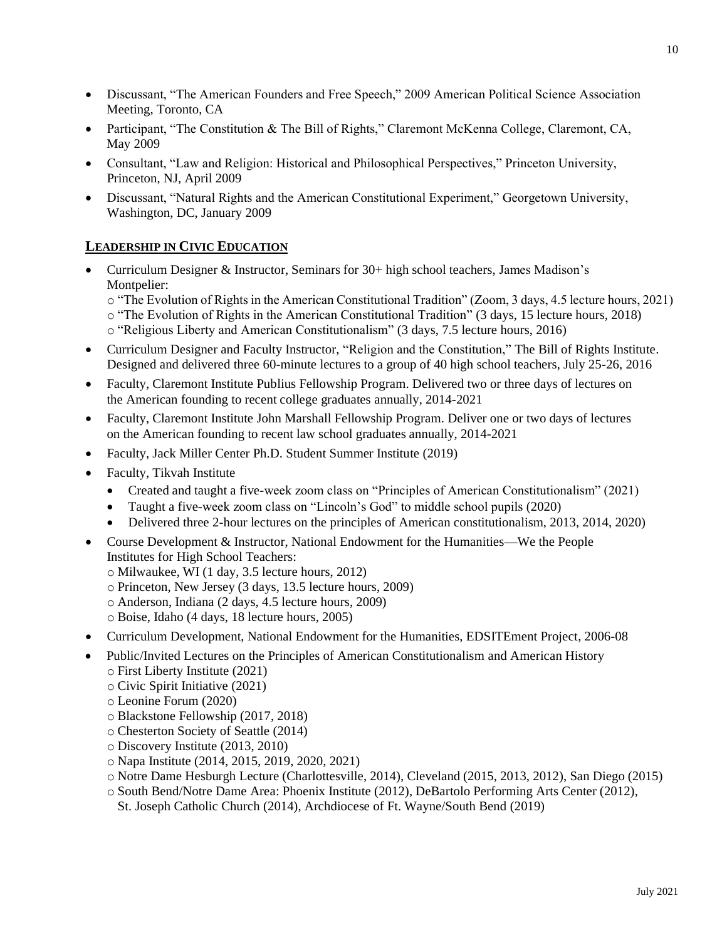- Discussant, "The American Founders and Free Speech," 2009 American Political Science Association Meeting, Toronto, CA
- Participant, "The Constitution & The Bill of Rights," Claremont McKenna College, Claremont, CA, May 2009
- Consultant, "Law and Religion: Historical and Philosophical Perspectives," Princeton University, Princeton, NJ, April 2009
- Discussant, "Natural Rights and the American Constitutional Experiment," Georgetown University, Washington, DC, January 2009

# **LEADERSHIP IN CIVIC EDUCATION**

• Curriculum Designer & Instructor, Seminars for 30+ high school teachers, James Madison's Montpelier:

o "The Evolution of Rights in the American Constitutional Tradition" (Zoom, 3 days, 4.5 lecture hours, 2021) o "The Evolution of Rights in the American Constitutional Tradition" (3 days, 15 lecture hours, 2018) o "Religious Liberty and American Constitutionalism" (3 days, 7.5 lecture hours, 2016)

- Curriculum Designer and Faculty Instructor, "Religion and the Constitution," The Bill of Rights Institute. Designed and delivered three 60-minute lectures to a group of 40 high school teachers, July 25-26, 2016
- Faculty, Claremont Institute Publius Fellowship Program. Delivered two or three days of lectures on the American founding to recent college graduates annually, 2014-2021
- Faculty, Claremont Institute John Marshall Fellowship Program. Deliver one or two days of lectures on the American founding to recent law school graduates annually, 2014-2021
- Faculty, Jack Miller Center Ph.D. Student Summer Institute (2019)
- Faculty, Tikvah Institute
	- Created and taught a five-week zoom class on "Principles of American Constitutionalism" (2021)
	- Taught a five-week zoom class on "Lincoln's God" to middle school pupils (2020)
	- Delivered three 2-hour lectures on the principles of American constitutionalism, 2013, 2014, 2020)
- Course Development & Instructor, National Endowment for the Humanities—We the People Institutes for High School Teachers:
	- o Milwaukee, WI (1 day, 3.5 lecture hours, 2012)
	- o Princeton, New Jersey (3 days, 13.5 lecture hours, 2009)
	- o Anderson, Indiana (2 days, 4.5 lecture hours, 2009)
	- o Boise, Idaho (4 days, 18 lecture hours, 2005)
- Curriculum Development, National Endowment for the Humanities, EDSITEment Project, 2006-08
- Public/Invited Lectures on the Principles of American Constitutionalism and American History o First Liberty Institute (2021)
	- o Civic Spirit Initiative (2021)
	- o Leonine Forum (2020)
	- o Blackstone Fellowship (2017, 2018)
	- o Chesterton Society of Seattle (2014)
	- o Discovery Institute (2013, 2010)
	- o Napa Institute (2014, 2015, 2019, 2020, 2021)
	- o Notre Dame Hesburgh Lecture (Charlottesville, 2014), Cleveland (2015, 2013, 2012), San Diego (2015)
	- o South Bend/Notre Dame Area: Phoenix Institute (2012), DeBartolo Performing Arts Center (2012), St. Joseph Catholic Church (2014), Archdiocese of Ft. Wayne/South Bend (2019)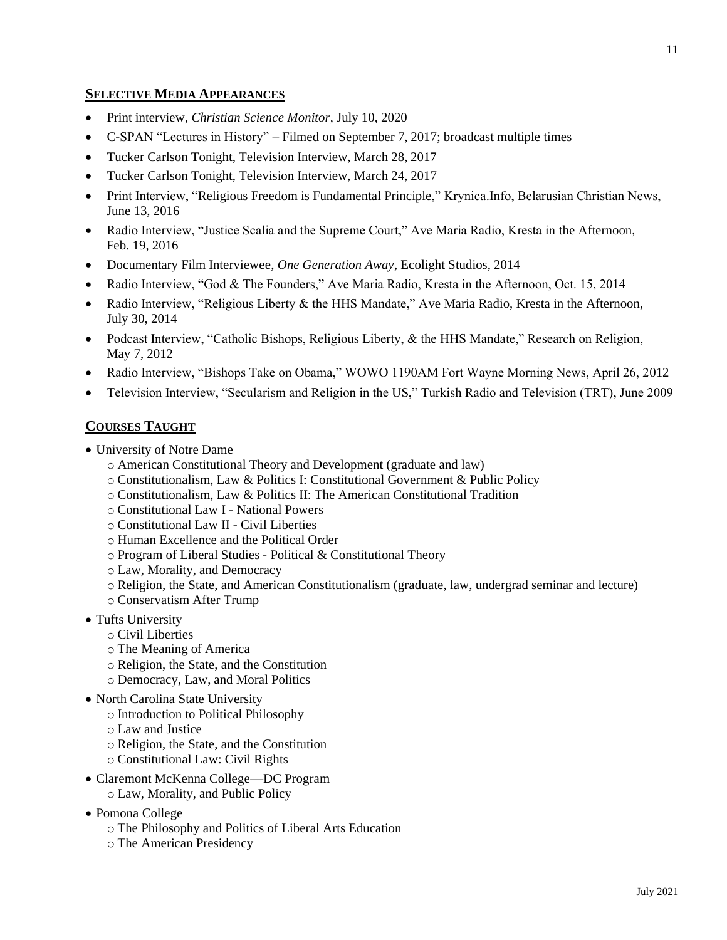### **SELECTIVE MEDIA APPEARANCES**

- Print interview, *Christian Science Monitor*, July 10, 2020
- C-SPAN "Lectures in History" Filmed on September 7, 2017; broadcast multiple times
- Tucker Carlson Tonight, Television Interview, March 28, 2017
- Tucker Carlson Tonight, Television Interview, March 24, 2017
- Print Interview, "Religious Freedom is Fundamental Principle," Krynica.Info, Belarusian Christian News, June 13, 2016
- Radio Interview, "Justice Scalia and the Supreme Court," Ave Maria Radio, Kresta in the Afternoon, Feb. 19, 2016
- Documentary Film Interviewee, *One Generation Away*, Ecolight Studios, 2014
- Radio Interview, "God & The Founders," Ave Maria Radio, Kresta in the Afternoon, Oct. 15, 2014
- Radio Interview, "Religious Liberty & the HHS Mandate," Ave Maria Radio, Kresta in the Afternoon, July 30, 2014
- Podcast Interview, "Catholic Bishops, Religious Liberty, & the HHS Mandate," Research on Religion, May 7, 2012
- Radio Interview, "Bishops Take on Obama," WOWO 1190AM Fort Wayne Morning News, April 26, 2012
- Television Interview, "Secularism and Religion in the US," Turkish Radio and Television (TRT), June 2009

# **COURSES TAUGHT**

- University of Notre Dame
	- o American Constitutional Theory and Development (graduate and law)
	- o Constitutionalism, Law & Politics I: Constitutional Government & Public Policy
	- o Constitutionalism, Law & Politics II: The American Constitutional Tradition
	- o Constitutional Law I National Powers
	- o Constitutional Law II Civil Liberties
	- o Human Excellence and the Political Order
	- o Program of Liberal Studies Political & Constitutional Theory
	- o Law, Morality, and Democracy
	- o Religion, the State, and American Constitutionalism (graduate, law, undergrad seminar and lecture)
	- o Conservatism After Trump
- Tufts University
	- o Civil Liberties
	- o The Meaning of America
	- o Religion, the State, and the Constitution
	- o Democracy, Law, and Moral Politics
- North Carolina State University
	- o Introduction to Political Philosophy
	- o Law and Justice
	- o Religion, the State, and the Constitution
	- o Constitutional Law: Civil Rights
- Claremont McKenna College—DC Program o Law, Morality, and Public Policy
- Pomona College
	- o The Philosophy and Politics of Liberal Arts Education
	- o The American Presidency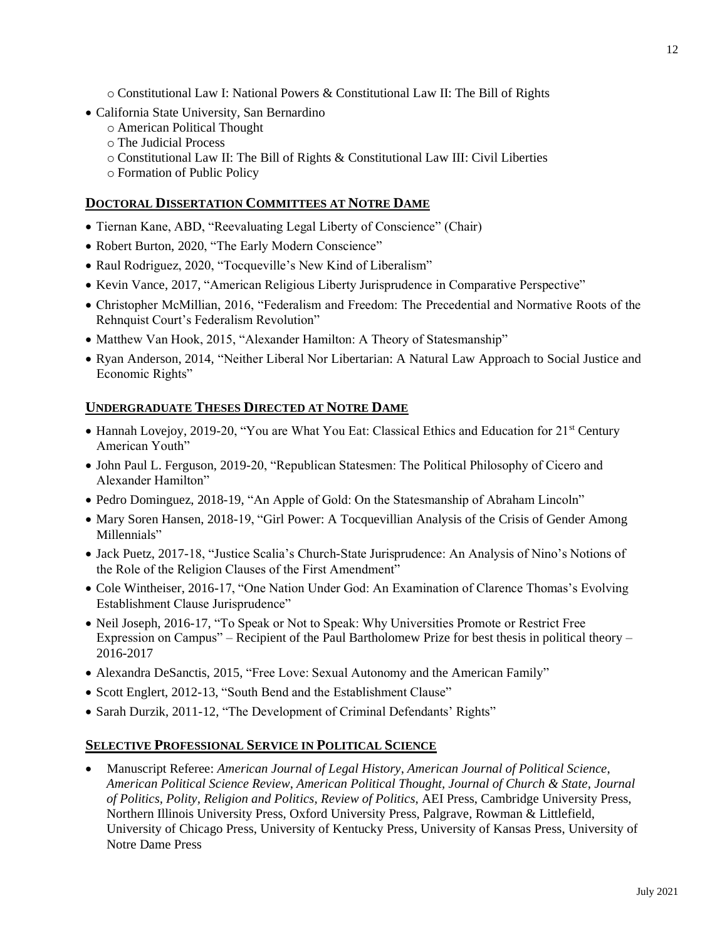o Constitutional Law I: National Powers & Constitutional Law II: The Bill of Rights

- California State University, San Bernardino
	- o American Political Thought
	- o The Judicial Process
	- o Constitutional Law II: The Bill of Rights & Constitutional Law III: Civil Liberties
	- o Formation of Public Policy

# **DOCTORAL DISSERTATION COMMITTEES AT NOTRE DAME**

- Tiernan Kane, ABD, "Reevaluating Legal Liberty of Conscience" (Chair)
- Robert Burton, 2020, "The Early Modern Conscience"
- Raul Rodriguez, 2020, "Tocqueville's New Kind of Liberalism"
- Kevin Vance, 2017, "American Religious Liberty Jurisprudence in Comparative Perspective"
- Christopher McMillian, 2016, "Federalism and Freedom: The Precedential and Normative Roots of the Rehnquist Court's Federalism Revolution"
- Matthew Van Hook, 2015, "Alexander Hamilton: A Theory of Statesmanship"
- Ryan Anderson, 2014, "Neither Liberal Nor Libertarian: A Natural Law Approach to Social Justice and Economic Rights"

# **UNDERGRADUATE THESES DIRECTED AT NOTRE DAME**

- Hannah Lovejoy, 2019-20, "You are What You Eat: Classical Ethics and Education for 21<sup>st</sup> Century American Youth"
- John Paul L. Ferguson, 2019-20, "Republican Statesmen: The Political Philosophy of Cicero and Alexander Hamilton"
- Pedro Dominguez, 2018-19, "An Apple of Gold: On the Statesmanship of Abraham Lincoln"
- Mary Soren Hansen, 2018-19, "Girl Power: A Tocquevillian Analysis of the Crisis of Gender Among Millennials"
- Jack Puetz, 2017-18, "Justice Scalia's Church-State Jurisprudence: An Analysis of Nino's Notions of the Role of the Religion Clauses of the First Amendment"
- Cole Wintheiser, 2016-17, "One Nation Under God: An Examination of Clarence Thomas's Evolving Establishment Clause Jurisprudence"
- Neil Joseph, 2016-17, "To Speak or Not to Speak: Why Universities Promote or Restrict Free Expression on Campus" – Recipient of the Paul Bartholomew Prize for best thesis in political theory – 2016-2017
- Alexandra DeSanctis, 2015, "Free Love: Sexual Autonomy and the American Family"
- Scott Englert, 2012-13, "South Bend and the Establishment Clause"
- Sarah Durzik, 2011-12, "The Development of Criminal Defendants' Rights"

# **SELECTIVE PROFESSIONAL SERVICE IN POLITICAL SCIENCE**

• Manuscript Referee: *American Journal of Legal History*, *American Journal of Political Science*, *American Political Science Review*, *American Political Thought, Journal of Church & State, Journal of Politics, Polity, Religion and Politics, Review of Politics*, AEI Press, Cambridge University Press, Northern Illinois University Press, Oxford University Press, Palgrave, Rowman & Littlefield, University of Chicago Press, University of Kentucky Press, University of Kansas Press, University of Notre Dame Press